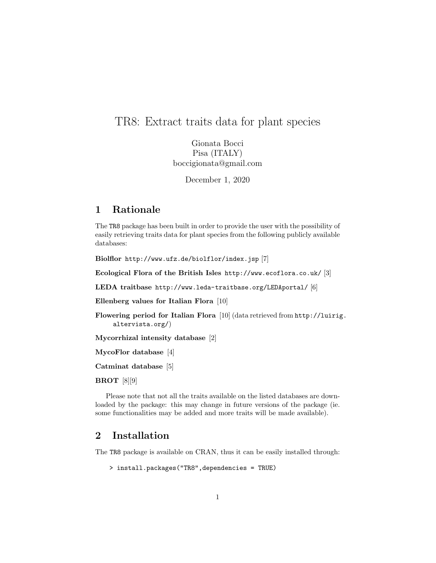# TR8: Extract traits data for plant species

Gionata Bocci Pisa (ITALY) boccigionata@gmail.com

December 1, 2020

# 1 Rationale

The TR8 package has been built in order to provide the user with the possibility of easily retrieving traits data for plant species from the following publicly available databases:

Biolflor http://www.ufz.de/biolflor/index.jsp [7]

Ecological Flora of the British Isles http://www.ecoflora.co.uk/ [3]

LEDA traitbase http://www.leda-traitbase.org/LEDAportal/ [6]

Ellenberg values for Italian Flora [10]

Flowering period for Italian Flora [10] (data retrieved from http://luirig. altervista.org/)

Mycorrhizal intensity database [2]

MycoFlor database [4]

Catminat database [5]

BROT [8][9]

Please note that not all the traits available on the listed databases are downloaded by the package: this may change in future versions of the package (ie. some functionalities may be added and more traits will be made available).

## 2 Installation

The TR8 package is available on CRAN, thus it can be easily installed through:

> install.packages("TR8",dependencies = TRUE)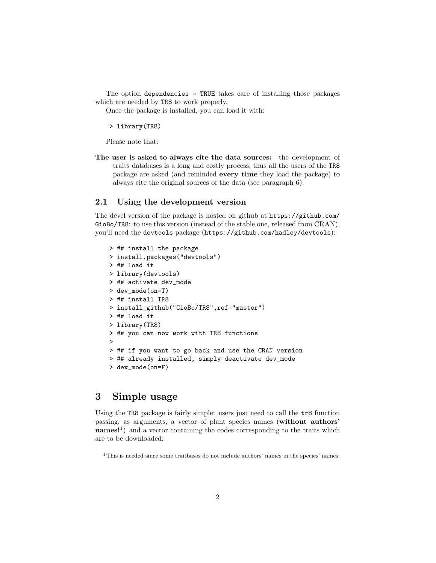The option dependencies = TRUE takes care of installing those packages which are needed by TR8 to work properly.

Once the package is installed, you can load it with:

> library(TR8)

Please note that:

The user is asked to always cite the data sources: the development of traits databases is a long and costly process, thus all the users of the TR8 package are asked (and reminded every time they load the package) to always cite the original sources of the data (see paragraph 6).

#### 2.1 Using the development version

The devel version of the package is hosted on github at https://github.com/ GioBo/TR8: to use this version (instead of the stable one, released from CRAN), you'll need the devtools package (https://github.com/hadley/devtools):

```
> ## install the package
> install.packages("devtools")
> ## load it
> library(devtools)
> ## activate dev_mode
> dev_mode(on=T)
> ## install TR8
> install_github("GioBo/TR8",ref="master")
> ## load it
> library(TR8)
> ## you can now work with TR8 functions
>
> ## if you want to go back and use the CRAN version
> ## already installed, simply deactivate dev_mode
> dev_mode(on=F)
```
### 3 Simple usage

Using the TR8 package is fairly simple: users just need to call the tr8 function passing, as arguments, a vector of plant species names (without authors' names!<sup>1</sup>) and a vector containing the codes corresponding to the traits which are to be downloaded:

<sup>1</sup>This is needed since some traitbases do not include authors' names in the species' names.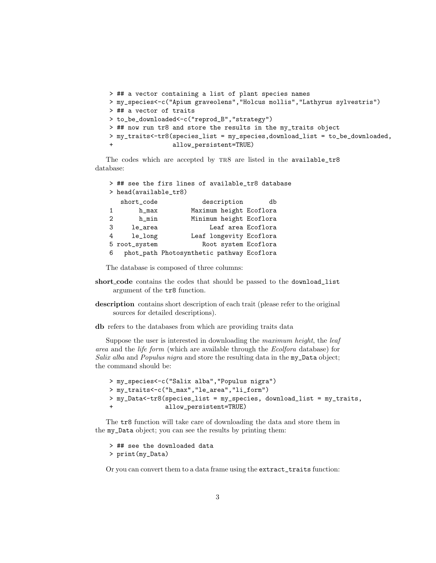```
> ## a vector containing a list of plant species names
> my_species<-c("Apium graveolens","Holcus mollis","Lathyrus sylvestris")
> ## a vector of traits
> to_be_downloaded<-c("reprod_B","strategy")
> ## now run tr8 and store the results in the my_traits object
> my_traits<-tr8(species_list = my_species,download_list = to_be_downloaded,
                 allow_persistent=TRUE)
```
The codes which are accepted by TR8 are listed in the available\_tr8 database:

|                |                       | > ## see the firs lines of available_tr8 database |    |
|----------------|-----------------------|---------------------------------------------------|----|
|                | > head(available_tr8) |                                                   |    |
|                | short_code            | description                                       | db |
| 1              | h_max                 | Maximum height Ecoflora                           |    |
| $\mathfrak{D}$ | $h$ _min              | Minimum height Ecoflora                           |    |
| 3              | le_area               | Leaf area Ecoflora                                |    |
| 4              | le_long               | Leaf longevity Ecoflora                           |    |
|                | 5 root_system         | Root system Ecoflora                              |    |
| 6              |                       | phot_path Photosynthetic pathway Ecoflora         |    |

The database is composed of three columns:

- short\_code contains the codes that should be passed to the download\_list argument of the tr8 function.
- description contains short description of each trait (please refer to the original sources for detailed descriptions).
- db refers to the databases from which are providing traits data

Suppose the user is interested in downloading the maximum height, the leaf area and the life form (which are available through the Ecolfora database) for Salix alba and Populus nigra and store the resulting data in the my\_Data object; the command should be:

```
> my_species<-c("Salix alba","Populus nigra")
> my_traits<-c("h_max","le_area","li_form")
> my_Data<-tr8(species_list = my_species, download_list = my_traits,
+ allow_persistent=TRUE)
```
The tr8 function will take care of downloading the data and store them in the my\_Data object; you can see the results by printing them:

> ## see the downloaded data > print(my\_Data)

Or you can convert them to a data frame using the extract\_traits function: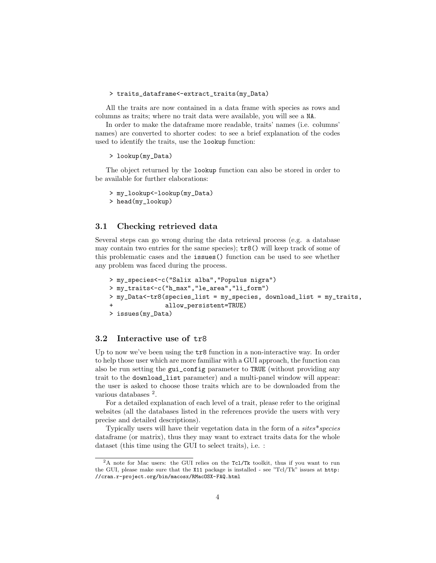> traits\_dataframe<-extract\_traits(my\_Data)

All the traits are now contained in a data frame with species as rows and columns as traits; where no trait data were available, you will see a NA.

In order to make the dataframe more readable, traits' names (i.e. columns' names) are converted to shorter codes: to see a brief explanation of the codes used to identify the traits, use the lookup function:

```
> lookup(my_Data)
```
The object returned by the lookup function can also be stored in order to be available for further elaborations:

```
> my_lookup<-lookup(my_Data)
> head(my_lookup)
```
#### 3.1 Checking retrieved data

Several steps can go wrong during the data retrieval process (e.g. a database may contain two entries for the same species); tr8() will keep track of some of this problematic cases and the issues() function can be used to see whether any problem was faced during the process.

```
> my_species<-c("Salix alba","Populus nigra")
> my_traits<-c("h_max","le_area","li_form")
> my_Data<-tr8(species_list = my_species, download_list = my_traits,
               allow_persistent=TRUE)
> issues(my_Data)
```
#### 3.2 Interactive use of tr8

Up to now we've been using the tr8 function in a non-interactive way. In order to help those user which are more familiar with a GUI approach, the function can also be run setting the gui\_config parameter to TRUE (without providing any trait to the download\_list parameter) and a multi-panel window will appear: the user is asked to choose those traits which are to be downloaded from the various databases <sup>2</sup>.

For a detailed explanation of each level of a trait, please refer to the original websites (all the databases listed in the references provide the users with very precise and detailed descriptions).

Typically users will have their vegetation data in the form of a sites\*species dataframe (or matrix), thus they may want to extract traits data for the whole dataset (this time using the GUI to select traits), i.e. :

<sup>&</sup>lt;sup>2</sup>A note for Mac users: the GUI relies on the Tc1/Tk toolkit, thus if you want to run the GUI, please make sure that the X11 package is installed - see "Tcl/Tk" issues at http: //cran.r-project.org/bin/macosx/RMacOSX-FAQ.html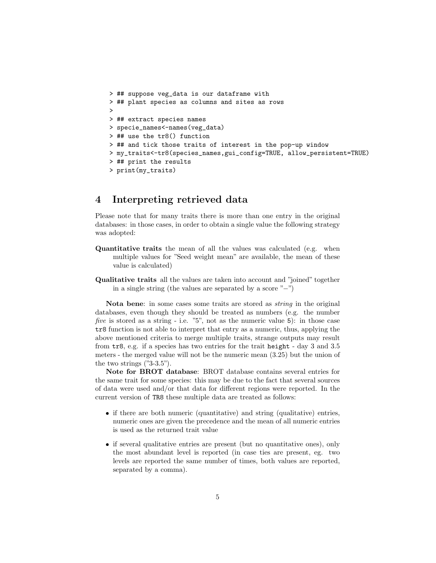```
> ## suppose veg_data is our dataframe with
> ## plant species as columns and sites as rows
>
> ## extract species names
> specie_names<-names(veg_data)
> ## use the tr8() function
> ## and tick those traits of interest in the pop-up window
> my_traits<-tr8(species_names,gui_config=TRUE, allow_persistent=TRUE)
> ## print the results
> print(my_traits)
```
### 4 Interpreting retrieved data

Please note that for many traits there is more than one entry in the original databases: in those cases, in order to obtain a single value the following strategy was adopted:

- Quantitative traits the mean of all the values was calculated (e.g. when multiple values for "Seed weight mean" are available, the mean of these value is calculated)
- Qualitative traits all the values are taken into account and "joined" together in a single string (the values are separated by a score "−")

Nota bene: in some cases some traits are stored as string in the original databases, even though they should be treated as numbers (e.g. the number five is stored as a string - i.e. "5", not as the numeric value 5): in those case tr8 function is not able to interpret that entry as a numeric, thus, applying the above mentioned criteria to merge multiple traits, strange outputs may result from tr8, e.g. if a species has two entries for the trait height - day 3 and 3.5 meters - the merged value will not be the numeric mean (3.25) but the union of the two strings ("3-3.5").

Note for BROT database: BROT database contains several entries for the same trait for some species: this may be due to the fact that several sources of data were used and/or that data for different regions were reported. In the current version of TR8 these multiple data are treated as follows:

- if there are both numeric (quantitative) and string (qualitative) entries, numeric ones are given the precedence and the mean of all numeric entries is used as the returned trait value
- if several qualitative entries are present (but no quantitative ones), only the most abundant level is reported (in case ties are present, eg. two levels are reported the same number of times, both values are reported, separated by a comma).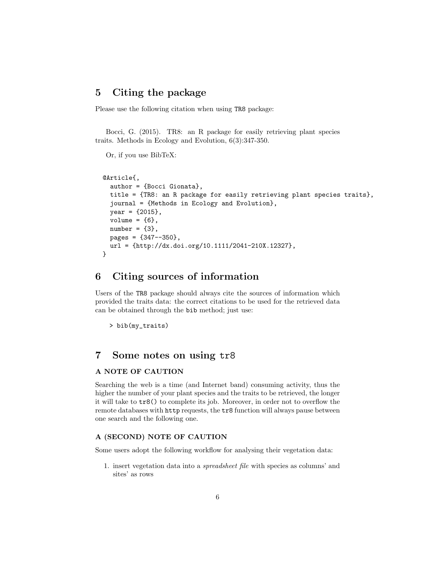#### 5 Citing the package

Please use the following citation when using TR8 package:

Bocci, G. (2015). TR8: an R package for easily retrieving plant species traits. Methods in Ecology and Evolution, 6(3):347-350.

#### Or, if you use BibTeX:

```
@Article{,
  author = {Bocci Gionata},
  title = {TR8: an R package for easily retrieving plant species traits},
  journal = {Methods in Ecology and Evolution},
  year = {2015},
  volume = {6},
  number = {3},
  pages = {347--350},
  url = {http://dx.doi.org/10.1111/2041-210X.12327},
}
```
#### 6 Citing sources of information

Users of the TR8 package should always cite the sources of information which provided the traits data: the correct citations to be used for the retrieved data can be obtained through the bib method; just use:

> bib(my\_traits)

### 7 Some notes on using tr8

#### A NOTE OF CAUTION

Searching the web is a time (and Internet band) consuming activity, thus the higher the number of your plant species and the traits to be retrieved, the longer it will take to tr8() to complete its job. Moreover, in order not to overflow the remote databases with http requests, the tr8 function will always pause between one search and the following one.

#### A (SECOND) NOTE OF CAUTION

Some users adopt the following workflow for analysing their vegetation data:

1. insert vegetation data into a spreadsheet file with species as columns' and sites' as rows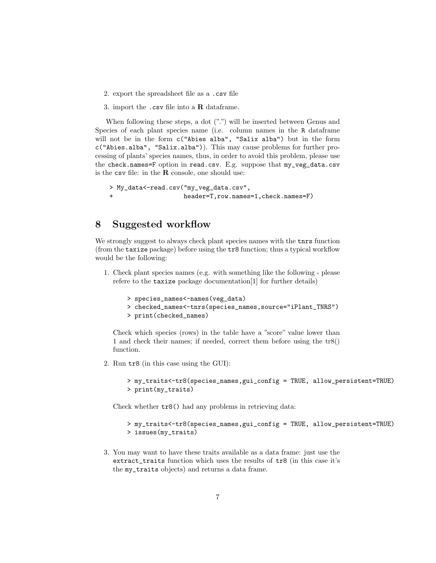- 2. export the spreadsheet file as a .csv file
- 3. import the .csv file into a R dataframe.

When following these steps, a dot  $("")$  will be inserted between Genus and Species of each plant species name (i.e. column names in the R dataframe will not be in the form c("Abies alba", "Salix alba") but in the form c("Abies.alba", "Salix.alba")). This may cause problems for further processing of plants' species names, thus, in order to avoid this problem, please use the check.names=F option in read.csv. E.g. suppose that my\_veg\_data.csv is the  $\text{csv}$  file: in the  $\bf R$  console, one should use:

```
> My_data<-read.csv("my_veg_data.csv",
+ header=T,row.names=1,check.names=F)
```
#### 8 Suggested workflow

We strongly suggest to always check plant species names with the tnrs function (from the taxize package) before using the tr8 function; thus a typical workflow would be the following:

1. Check plant species names (e.g. with something like the following - please refere to the taxize package documentation[1] for further details)

```
> species_names<-names(veg_data)
```
- > checked\_names<-tnrs(species\_names,source="iPlant\_TNRS")
- > print(checked\_names)

Check which species (rows) in the table have a "score" value lower than 1 and check their names; if needed, correct them before using the tr8() function.

2. Run tr8 (in this case using the GUI):

```
> my_traits<-tr8(species_names,gui_config = TRUE, allow_persistent=TRUE)
> print(my_traits)
```
Check whether tr8() had any problems in retrieving data:

```
> my_traits<-tr8(species_names,gui_config = TRUE, allow_persistent=TRUE)
> issues(my_traits)
```
3. You may want to have these traits available as a data frame: just use the extract\_traits function which uses the results of tr8 (in this case it's the my\_traits objects) and returns a data frame.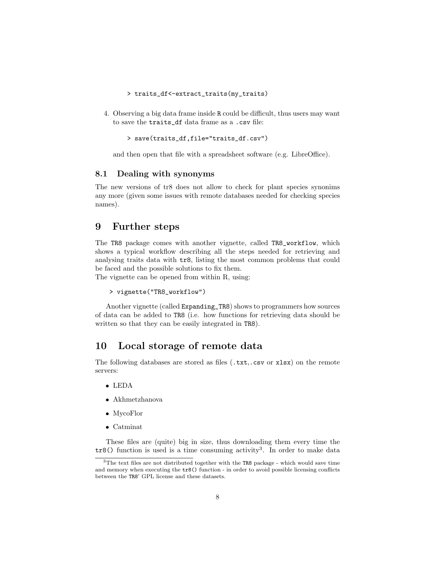- > traits\_df<-extract\_traits(my\_traits)
- 4. Observing a big data frame inside R could be difficult, thus users may want to save the traits\_df data frame as a .csv file:

```
> save(traits_df,file="traits_df.csv")
```
and then open that file with a spreadsheet software (e.g. LibreOffice).

#### 8.1 Dealing with synonyms

The new versions of tr8 does not allow to check for plant species synonims any more (given some issues with remote databases needed for checking species names).

#### 9 Further steps

The TR8 package comes with another vignette, called TR8\_workflow, which shows a typical workflow describing all the steps needed for retrieving and analysing traits data with tr8, listing the most common problems that could be faced and the possible solutions to fix them.

The vignette can be opened from within R, using:

```
> vignette("TR8_workflow")
```
Another vignette (called Expanding\_TR8) shows to programmers how sources of data can be added to TR8 (i.e. how functions for retrieving data should be written so that they can be easily integrated in TR8).

### 10 Local storage of remote data

The following databases are stored as files (.txt,.csv or xlsx) on the remote servers:

- LEDA
- Akhmetzhanova
- MycoFlor
- Catminat

These files are (quite) big in size, thus downloading them every time the  $tr8()$  function is used is a time consuming activity<sup>3</sup>. In order to make data

<sup>3</sup>The text files are not distributed together with the TR8 package - which would save time and memory when executing the tr8() function - in order to avoid possible licensing conflicts between the TR8' GPL license and these datasets.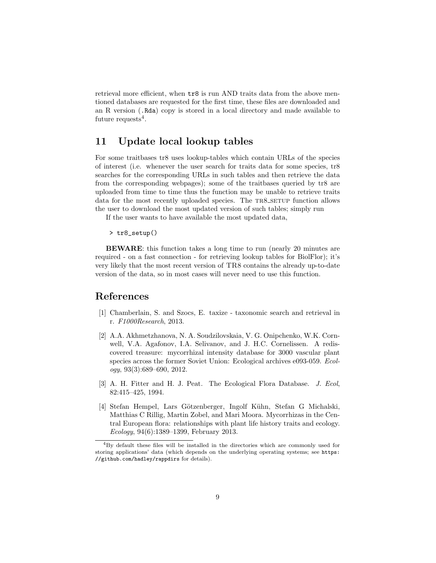retrieval more efficient, when tr8 is run AND traits data from the above mentioned databases are requested for the first time, these files are downloaded and an R version (.Rda) copy is stored in a local directory and made available to future requests<sup>4</sup>.

### 11 Update local lookup tables

For some traitbases tr8 uses lookup-tables which contain URLs of the species of interest (i.e. whenever the user search for traits data for some species, tr8 searches for the corresponding URLs in such tables and then retrieve the data from the corresponding webpages); some of the traitbases queried by tr8 are uploaded from time to time thus the function may be unable to retrieve traits data for the most recently uploaded species. The TR8\_SETUP function allows the user to download the most updated version of such tables; simply run

If the user wants to have available the most updated data,

> tr8\_setup()

BEWARE: this function takes a long time to run (nearly 20 minutes are required - on a fast connection - for retrieving lookup tables for BiolFlor); it's very likely that the most recent version of TR8 contains the already up-to-date version of the data, so in most cases will never need to use this function.

#### References

- [1] Chamberlain, S. and Szocs, E. taxize taxonomic search and retrieval in r. F1000Research, 2013.
- [2] A.A. Akhmetzhanova, N. A. Soudzilovskaia, V. G. Onipchenko, W.K. Cornwell, V.A. Agafonov, I.A. Selivanov, and J. H.C. Cornelissen. A rediscovered treasure: mycorrhizal intensity database for 3000 vascular plant species across the former Soviet Union: Ecological archives e093-059. Ecol $ogy, 93(3):689-690, 2012.$
- [3] A. H. Fitter and H. J. Peat. The Ecological Flora Database. J. Ecol, 82:415–425, 1994.
- [4] Stefan Hempel, Lars Götzenberger, Ingolf Kühn, Stefan G Michalski, Matthias C Rillig, Martin Zobel, and Mari Moora. Mycorrhizas in the Central European flora: relationships with plant life history traits and ecology. Ecology, 94(6):1389–1399, February 2013.

<sup>4</sup>By default these files will be installed in the directories which are commonly used for storing applications' data (which depends on the underlying operating systems; see https: //github.com/hadley/rappdirs for details).